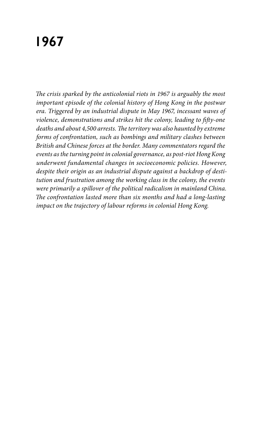## **1967**

*The crisis sparked by the anticolonial riots in 1967 is arguably the most important episode of the colonial history of Hong Kong in the postwar era. Triggered by an industrial dispute in May 1967, incessant waves of violence, demonstrations and strikes hit the colony, leading to fifty-one deaths and about 4,500 arrests. The territory was also haunted by extreme forms of confrontation, such as bombings and military clashes between British and Chinese forces at the border. Many commentators regard the events as the turning point in colonial governance, as post-riot Hong Kong underwent fundamental changes in socioeconomic policies. However, despite their origin as an industrial dispute against a backdrop of destitution and frustration among the working class in the colony, the events were primarily a spillover of the political radicalism in mainland China. The confrontation lasted more than six months and had a long-lasting impact on the trajectory of labour reforms in colonial Hong Kong.*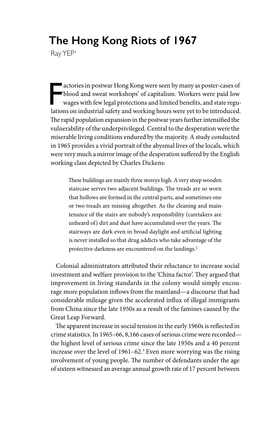## **The Hong Kong Riots of 1967**

Ray YEP<sup>1</sup>

F<br>latio actories in postwar Hong Kong were seen by many as poster-cases of 'blood and sweat workshops' of capitalism. Workers were paid low wages with few legal protections and limited benefits, and state regulations on industrial safety and working hours were yet to be introduced. The rapid population expansion in the postwar years further intensified the vulnerability of the underprivileged. Central to the desperation were the miserable living conditions endured by the majority. A study conducted in 1965 provides a vivid portrait of the abysmal lives of the locals, which were very much a mirror image of the desperation suffered by the English working class depicted by Charles Dickens:

> These buildings are mainly three storeys high. A very steep wooden staircase serves two adjacent buildings. The treads are so worn that hollows are formed in the central parts, and sometimes one or two treads are missing altogether. As the cleaning and maintenance of the stairs are nobody's responsibility (caretakers are unheard of) dirt and dust have accumulated over the years. The stairways are dark even in broad daylight and artificial lighting is never installed so that drug addicts who take advantage of the protective darkness are encountered on the landings.<sup>2</sup>

Colonial administrators attributed their reluctance to increase social investment and welfare provision to the 'China factor'. They argued that improvement in living standards in the colony would simply encourage more population inflows from the mainland—a discourse that had considerable mileage given the accelerated influx of illegal immigrants from China since the late 1950s as a result of the famines caused by the Great Leap Forward.

The apparent increase in social tension in the early 1960s is reflected in crime statistics. In 1965–66, 8,166 cases of serious crime were recorded the highest level of serious crime since the late 1950s and a 40 percent increase over the level of 1961–62.<sup>3</sup> Even more worrying was the rising involvement of young people. The number of defendants under the age of sixteen witnessed an average annual growth rate of 17 percent between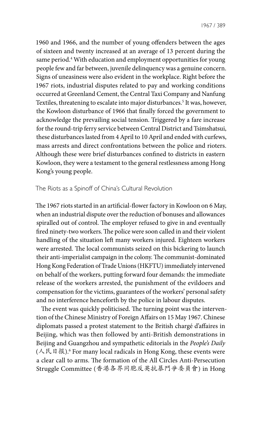1967 / 389

1960 and 1966, and the number of young offenders between the ages of sixteen and twenty increased at an average of 13 percent during the same period.4 With education and employment opportunities for young people few and far between, juvenile delinquency was a genuine concern. Signs of uneasiness were also evident in the workplace. Right before the 1967 riots, industrial disputes related to pay and working conditions occurred at Greenland Cement, the Central Taxi Company and Nanfung Textiles, threatening to escalate into major disturbances.5 It was, however, the Kowloon disturbance of 1966 that finally forced the government to acknowledge the prevailing social tension. Triggered by a fare increase for the round-trip ferry service between Central District and Tsimshatsui, these disturbances lasted from 4 April to 10 April and ended with curfews, mass arrests and direct confrontations between the police and rioters. Although these were brief disturbances confined to districts in eastern Kowloon, they were a testament to the general restlessness among Hong Kong's young people.

## The Riots as a Spinoff of China's Cultural Revolution

The 1967 riots started in an artificial-flower factory in Kowloon on 6 May, when an industrial dispute over the reduction of bonuses and allowances spiralled out of control. The employer refused to give in and eventually fired ninety-two workers. The police were soon called in and their violent handling of the situation left many workers injured. Eighteen workers were arrested. The local communists seized on this bickering to launch their anti-imperialist campaign in the colony. The communist-dominated Hong Kong Federation of Trade Unions (HKFTU) immediately intervened on behalf of the workers, putting forward four demands: the immediate release of the workers arrested, the punishment of the evildoers and compensation for the victims, guarantees of the workers' personal safety and no interference henceforth by the police in labour disputes.

The event was quickly politicised. The turning point was the intervention of the Chinese Ministry of Foreign Affairs on 15 May 1967. Chinese diplomats passed a protest statement to the British chargé d'affaires in Beijing, which was then followed by anti-British demonstrations in Beijing and Guangzhou and sympathetic editorials in the *People's Daily* (人民日报).6 For many local radicals in Hong Kong, these events were a clear call to arms. The formation of the All Circles Anti-Persecution Struggle Committee (香港各界同胞反英抗暴鬥爭委員會) in Hong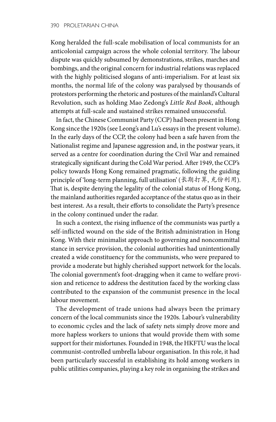Kong heralded the full-scale mobilisation of local communists for an anticolonial campaign across the whole colonial territory. The labour dispute was quickly subsumed by demonstrations, strikes, marches and bombings, and the original concern for industrial relations was replaced with the highly politicised slogans of anti-imperialism. For at least six months, the normal life of the colony was paralysed by thousands of protestors performing the rhetoric and postures of the mainland's Cultural Revolution, such as holding Mao Zedong's *Little Red Book*, although attempts at full-scale and sustained strikes remained unsuccessful.

In fact, the Chinese Communist Party (CCP) had been present in Hong Kong since the 1920s (see Leong's and Lu's essays in the present volume). In the early days of the CCP, the colony had been a safe haven from the Nationalist regime and Japanese aggression and, in the postwar years, it served as a centre for coordination during the Civil War and remained strategically significant during the Cold War period. After 1949, the CCP's policy towards Hong Kong remained pragmatic, following the guiding principle of 'long-term planning, full utilisation' (长期打算, 充份利用). That is, despite denying the legality of the colonial status of Hong Kong, the mainland authorities regarded acceptance of the status quo as in their best interest. As a result, their efforts to consolidate the Party's presence in the colony continued under the radar.

In such a context, the rising influence of the communists was partly a self-inflicted wound on the side of the British administration in Hong Kong. With their minimalist approach to governing and noncommittal stance in service provision, the colonial authorities had unintentionally created a wide constituency for the communists, who were prepared to provide a moderate but highly cherished support network for the locals. The colonial government's foot-dragging when it came to welfare provision and reticence to address the destitution faced by the working class contributed to the expansion of the communist presence in the local labour movement.

The development of trade unions had always been the primary concern of the local communists since the 1920s. Labour's vulnerability to economic cycles and the lack of safety nets simply drove more and more hapless workers to unions that would provide them with some support for their misfortunes. Founded in 1948, the HKFTU was the local communist-controlled umbrella labour organisation. In this role, it had been particularly successful in establishing its hold among workers in public utilities companies, playing a key role in organising the strikes and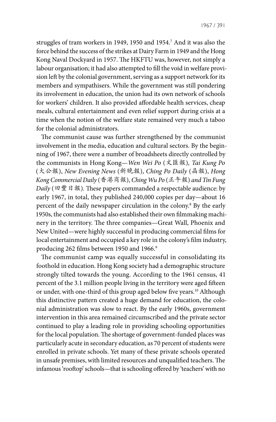struggles of tram workers in 1949, 1950 and 1954.7 And it was also the force behind the success of the strikes at Dairy Farm in 1949 and the Hong Kong Naval Dockyard in 1957. The HKFTU was, however, not simply a labour organisation; it had also attempted to fill the void in welfare provision left by the colonial government, serving as a support network for its members and sympathisers. While the government was still pondering its involvement in education, the union had its own network of schools for workers' children. It also provided affordable health services, cheap meals, cultural entertainment and even relief support during crisis at a time when the notion of the welfare state remained very much a taboo for the colonial administrators.

The communist cause was further strengthened by the communist involvement in the media, education and cultural sectors. By the beginning of 1967, there were a number of broadsheets directly controlled by the communists in Hong Kong—*Wen Wei Po* (文匯報)*, Tai Kung Po*  (大公報), *New Evening News* (新晚報), *Ching Po Daily* (晶報), *Hong Kong Commercial Daily* (香港商報), *Ching Wu Po* (正午報) *and Tin Fung Daily* (田豐日報)*.* These papers commanded a respectable audience: by early 1967, in total, they published 240,000 copies per day—about 16 percent of the daily newspaper circulation in the colony.8 By the early 1950s, the communists had also established their own filmmaking machinery in the territory. The three companies—Great Wall, Phoenix and New United—were highly successful in producing commercial films for local entertainment and occupied a key role in the colony's film industry, producing 262 films between 1950 and 1966.<sup>9</sup>

The communist camp was equally successful in consolidating its foothold in education. Hong Kong society had a demographic structure strongly tilted towards the young. According to the 1961 census, 41 percent of the 3.1 million people living in the territory were aged fifteen or under, with one-third of this group aged below five years.10 Although this distinctive pattern created a huge demand for education, the colonial administration was slow to react. By the early 1960s, government intervention in this area remained circumscribed and the private sector continued to play a leading role in providing schooling opportunities for the local population. The shortage of government-funded places was particularly acute in secondary education, as 70 percent of students were enrolled in private schools. Yet many of these private schools operated in unsafe premises, with limited resources and unqualified teachers. The infamous 'rooftop' schools—that is schooling offered by 'teachers' with no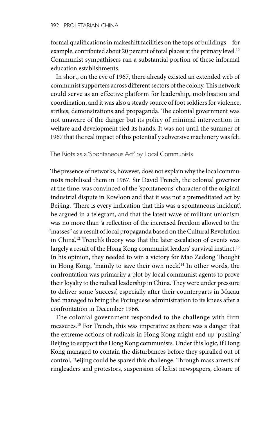formal qualifications in makeshift facilities on the tops of buildings—for example, contributed about 20 percent of total places at the primary level.<sup>10</sup> Communist sympathisers ran a substantial portion of these informal education establishments.

In short, on the eve of 1967, there already existed an extended web of communist supporters across different sectors of the colony. This network could serve as an effective platform for leadership, mobilisation and coordination, and it was also a steady source of foot soldiers for violence, strikes, demonstrations and propaganda. The colonial government was not unaware of the danger but its policy of minimal intervention in welfare and development tied its hands. It was not until the summer of 1967 that the real impact of this potentially subversive machinery was felt.

The Riots as a 'Spontaneous Act' by Local Communists

The presence of networks, however, does not explain why the local communists mobilised them in 1967. Sir David Trench, the colonial governor at the time, was convinced of the 'spontaneous' character of the original industrial dispute in Kowloon and that it was not a premeditated act by Beijing. 'There is every indication that this was a spontaneous incident', he argued in a telegram, and that the latest wave of militant unionism was no more than 'a reflection of the increased freedom allowed to the "masses" as a result of local propaganda based on the Cultural Revolution in China'.<sup>12</sup> Trench's theory was that the later escalation of events was largely a result of the Hong Kong communist leaders' survival instinct.<sup>13</sup> In his opinion, they needed to win a victory for Mao Zedong Thought in Hong Kong, 'mainly to save their own neck'.<sup>14</sup> In other words, the confrontation was primarily a plot by local communist agents to prove their loyalty to the radical leadership in China. They were under pressure to deliver some 'success', especially after their counterparts in Macau had managed to bring the Portuguese administration to its knees after a confrontation in December 1966.

The colonial government responded to the challenge with firm measures.15 For Trench, this was imperative as there was a danger that the extreme actions of radicals in Hong Kong might end up 'pushing' Beijing to support the Hong Kong communists. Under this logic, if Hong Kong managed to contain the disturbances before they spiralled out of control, Beijing could be spared this challenge. Through mass arrests of ringleaders and protestors, suspension of leftist newspapers, closure of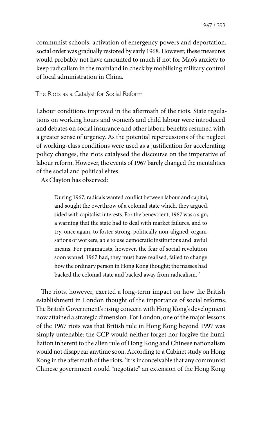communist schools, activation of emergency powers and deportation, social order was gradually restored by early 1968. However, these measures would probably not have amounted to much if not for Mao's anxiety to keep radicalism in the mainland in check by mobilising military control of local administration in China.

The Riots as a Catalyst for Social Reform

Labour conditions improved in the aftermath of the riots. State regulations on working hours and women's and child labour were introduced and debates on social insurance and other labour benefits resumed with a greater sense of urgency. As the potential repercussions of the neglect of working-class conditions were used as a justification for accelerating policy changes, the riots catalysed the discourse on the imperative of labour reform. However, the events of 1967 barely changed the mentalities of the social and political elites.

As Clayton has observed:

During 1967, radicals wanted conflict between labour and capital, and sought the overthrow of a colonial state which, they argued, sided with capitalist interests. For the benevolent, 1967 was a sign, a warning that the state had to deal with market failures, and to try, once again, to foster strong, politically non-aligned, organisations of workers, able to use democratic institutions and lawful means. For pragmatists, however, the fear of social revolution soon waned. 1967 had, they must have realised, failed to change how the ordinary person in Hong Kong thought; the masses had backed the colonial state and backed away from radicalism.16

The riots, however, exerted a long-term impact on how the British establishment in London thought of the importance of social reforms. The British Government's rising concern with Hong Kong's development now attained a strategic dimension. For London, one of the major lessons of the 1967 riots was that British rule in Hong Kong beyond 1997 was simply untenable: the CCP would neither forget nor forgive the humiliation inherent to the alien rule of Hong Kong and Chinese nationalism would not disappear anytime soon. According to a Cabinet study on Hong Kong in the aftermath of the riots, 'it is inconceivable that any communist Chinese government would "negotiate" an extension of the Hong Kong